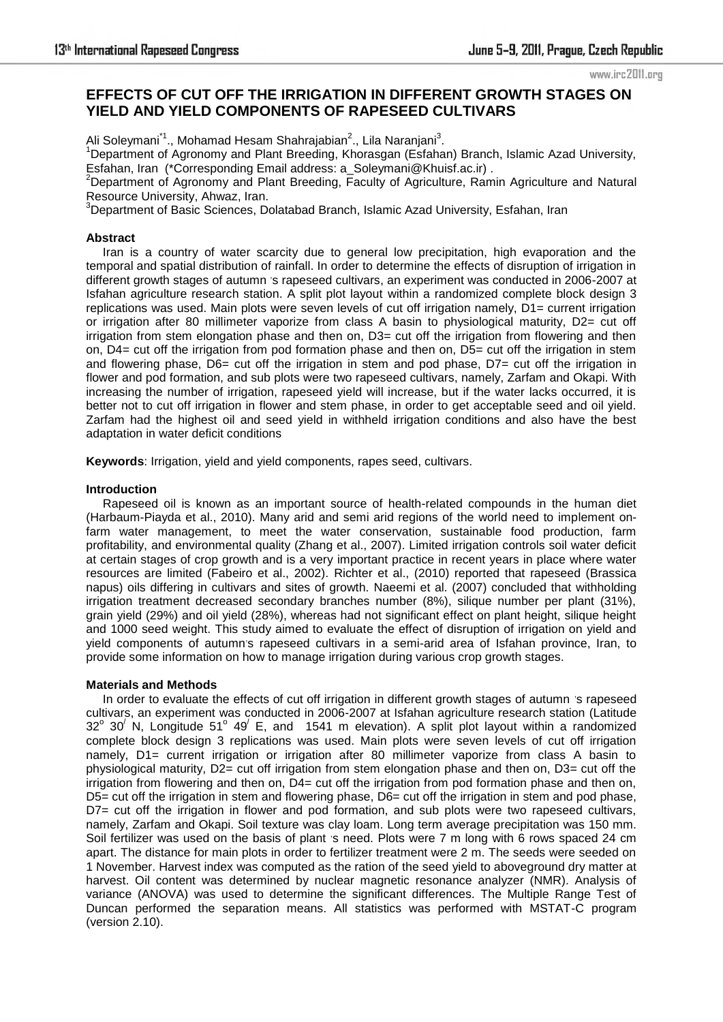# **EFFECTS OF CUT OFF THE IRRIGATION IN DIFFERENT GROWTH STAGES ON YIELD AND YIELD COMPONENTS OF RAPESEED CULTIVARS**

Ali Soleymani<sup>\*1</sup>., Mohamad Hesam Shahrajabian<sup>2</sup>., Lila Naranjani<sup>3</sup>.

<sup>1</sup>Department of Agronomy and Plant Breeding, Khorasgan (Esfahan) Branch, Islamic Azad University, Esfahan, Iran (\*Corresponding Email address: a\_Soleymani@Khuisf.ac.ir) .

<sup>2</sup>Department of Agronomy and Plant Breeding, Faculty of Agriculture, Ramin Agriculture and Natural Resource University, Ahwaz, Iran.

<sup>3</sup>Department of Basic Sciences, Dolatabad Branch, Islamic Azad University, Esfahan, Iran

## **Abstract**

 Iran is a country of water scarcity due to general low precipitation, high evaporation and the temporal and spatial distribution of rainfall. In order to determine the effects of disruption of irrigation in different growth stages of autumn 's rapeseed cultivars, an experiment was conducted in 2006-2007 at Isfahan agriculture research station. A split plot layout within a randomized complete block design 3 replications was used. Main plots were seven levels of cut off irrigation namely, D1= current irrigation or irrigation after 80 millimeter vaporize from class A basin to physiological maturity, D2= cut off irrigation from stem elongation phase and then on, D3= cut off the irrigation from flowering and then on, D4= cut off the irrigation from pod formation phase and then on, D5= cut off the irrigation in stem and flowering phase, D6= cut off the irrigation in stem and pod phase, D7= cut off the irrigation in flower and pod formation, and sub plots were two rapeseed cultivars, namely, Zarfam and Okapi. With increasing the number of irrigation, rapeseed yield will increase, but if the water lacks occurred, it is better not to cut off irrigation in flower and stem phase, in order to get acceptable seed and oil yield. Zarfam had the highest oil and seed yield in withheld irrigation conditions and also have the best adaptation in water deficit conditions

**Keywords**: Irrigation, yield and yield components, rapes seed, cultivars.

### **Introduction**

 Rapeseed oil is known as an important source of health-related compounds in the human diet (Harbaum-Piayda et al., 2010). Many arid and semi arid regions of the world need to implement onfarm water management, to meet the water conservation, sustainable food production, farm profitability, and environmental quality (Zhang et al., 2007). Limited irrigation controls soil water deficit at certain stages of crop growth and is a very important practice in recent years in place where water resources are limited (Fabeiro et al., 2002). Richter et al., (2010) reported that rapeseed (Brassica napus) oils differing in cultivars and sites of growth. Naeemi et al. (2007) concluded that withholding irrigation treatment decreased secondary branches number (8%), silique number per plant (31%), grain yield (29%) and oil yield (28%), whereas had not significant effect on plant height, silique height and 1000 seed weight. This study aimed to evaluate the effect of disruption of irrigation on yield and yield components of autumn's rapeseed cultivars in a semi-arid area of Isfahan province, Iran, to provide some information on how to manage irrigation during various crop growth stages.

#### **Materials and Methods**

In order to evaluate the effects of cut off irrigation in different growth stages of autumn 's rapeseed cultivars, an experiment was conducted in 2006-2007 at Isfahan agriculture research station (Latitude  $32^{\circ}$  30<sup>'</sup> N, Longitude 51<sup>o</sup> 49<sup>'</sup> E, and 1541 m elevation). A split plot layout within a randomized complete block design 3 replications was used. Main plots were seven levels of cut off irrigation namely, D1= current irrigation or irrigation after 80 millimeter vaporize from class A basin to physiological maturity, D2= cut off irrigation from stem elongation phase and then on, D3= cut off the irrigation from flowering and then on, D4= cut off the irrigation from pod formation phase and then on, D5= cut off the irrigation in stem and flowering phase, D6= cut off the irrigation in stem and pod phase, D7= cut off the irrigation in flower and pod formation, and sub plots were two rapeseed cultivars, namely, Zarfam and Okapi. Soil texture was clay loam. Long term average precipitation was 150 mm. Soil fertilizer was used on the basis of plant 's need. Plots were 7 m long with 6 rows spaced 24 cm apart. The distance for main plots in order to fertilizer treatment were 2 m. The seeds were seeded on 1 November. Harvest index was computed as the ration of the seed yield to aboveground dry matter at harvest. Oil content was determined by nuclear magnetic resonance analyzer (NMR). Analysis of variance (ANOVA) was used to determine the significant differences. The Multiple Range Test of Duncan performed the separation means. All statistics was performed with MSTAT-C program (version 2.10).

www.irc2011.org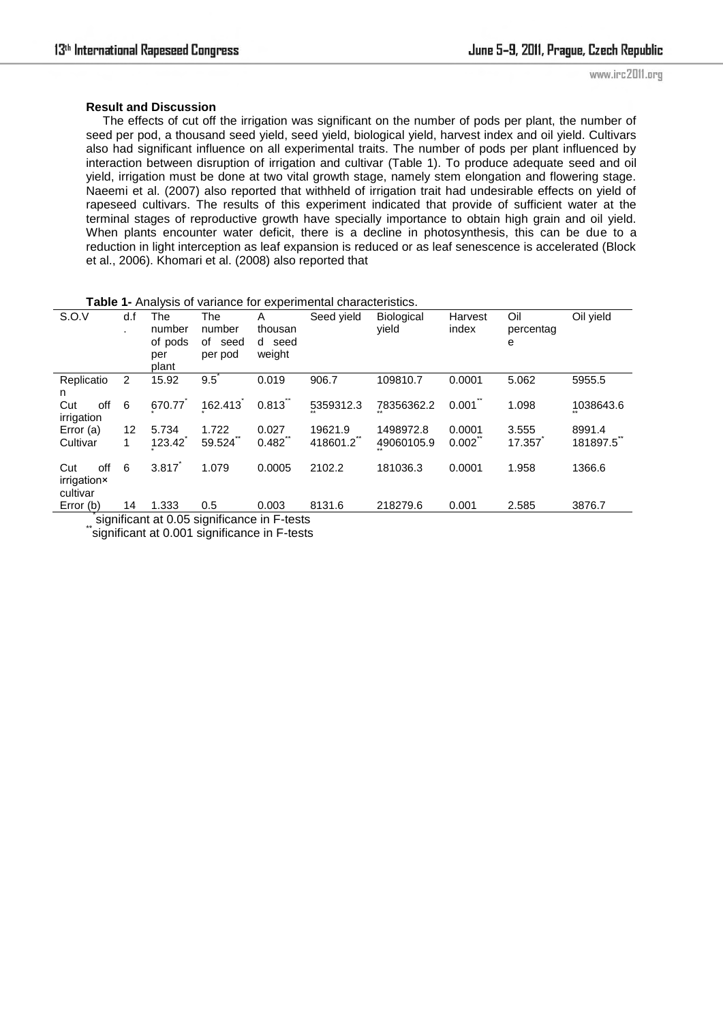#### **Result and Discussion**

 The effects of cut off the irrigation was significant on the number of pods per plant, the number of seed per pod, a thousand seed yield, seed yield, biological yield, harvest index and oil yield. Cultivars also had significant influence on all experimental traits. The number of pods per plant influenced by interaction between disruption of irrigation and cultivar (Table 1). To produce adequate seed and oil yield, irrigation must be done at two vital growth stage, namely stem elongation and flowering stage. Naeemi et al. (2007) also reported that withheld of irrigation trait had undesirable effects on yield of rapeseed cultivars. The results of this experiment indicated that provide of sufficient water at the terminal stages of reproductive growth have specially importance to obtain high grain and oil yield. When plants encounter water deficit, there is a decline in photosynthesis, this can be due to a reduction in light interception as leaf expansion is reduced or as leaf senescence is accelerated (Block et al., 2006). Khomari et al. (2008) also reported that

| <b>i able 1-</b> Analysis of variance for experimental characteristics. |             |                                          |                                     |                                  |            |                            |                  |                       |           |  |  |
|-------------------------------------------------------------------------|-------------|------------------------------------------|-------------------------------------|----------------------------------|------------|----------------------------|------------------|-----------------------|-----------|--|--|
| S.O.V                                                                   | d.f<br>٠.   | The<br>number<br>of pods<br>per<br>plant | The<br>number<br>of seed<br>per pod | A<br>thousan<br>d seed<br>weight | Seed vield | <b>Biological</b><br>vield | Harvest<br>index | Oil<br>percentag<br>е | Oil yield |  |  |
| Replicatio<br>n                                                         | 2           | 15.92                                    | 9.5                                 | 0.019                            | 906.7      | 109810.7                   | 0.0001           | 5.062                 | 5955.5    |  |  |
| off<br>Cut<br>irrigation                                                | 6           | 670.77                                   | 162.413                             | $0.813$ <sup>"</sup>             | 5359312.3  | 78356362.2                 | 0.001            | 1.098                 | 1038643.6 |  |  |
| Error $(a)$                                                             | 12          | 5.734                                    | 1.722                               | 0.027                            | 19621.9    | 1498972.8                  | 0.0001           | 3.555                 | 8991.4    |  |  |
| Cultivar                                                                | $\mathbf 1$ | 123.42                                   | 59.524                              | 0.482                            | 418601.2   | 49060105.9                 | 0.002            | 17.357                | 181897.5  |  |  |
| off<br>Cut<br>irrigation×<br>cultivar                                   | 6           | 3.817                                    | 1.079                               | 0.0005                           | 2102.2     | 181036.3                   | 0.0001           | 1.958                 | 1366.6    |  |  |
| Error (b)                                                               | 14          | 1.333                                    | 0.5                                 | 0.003                            | 8131.6     | 218279.6                   | 0.001            | 2.585                 | 3876.7    |  |  |
| significant at 0.05 significance in F-tests                             |             |                                          |                                     |                                  |            |                            |                  |                       |           |  |  |

**Table 1-** Analysis of variance for experimental characteristics.

significant at 0.001 significance in F-tests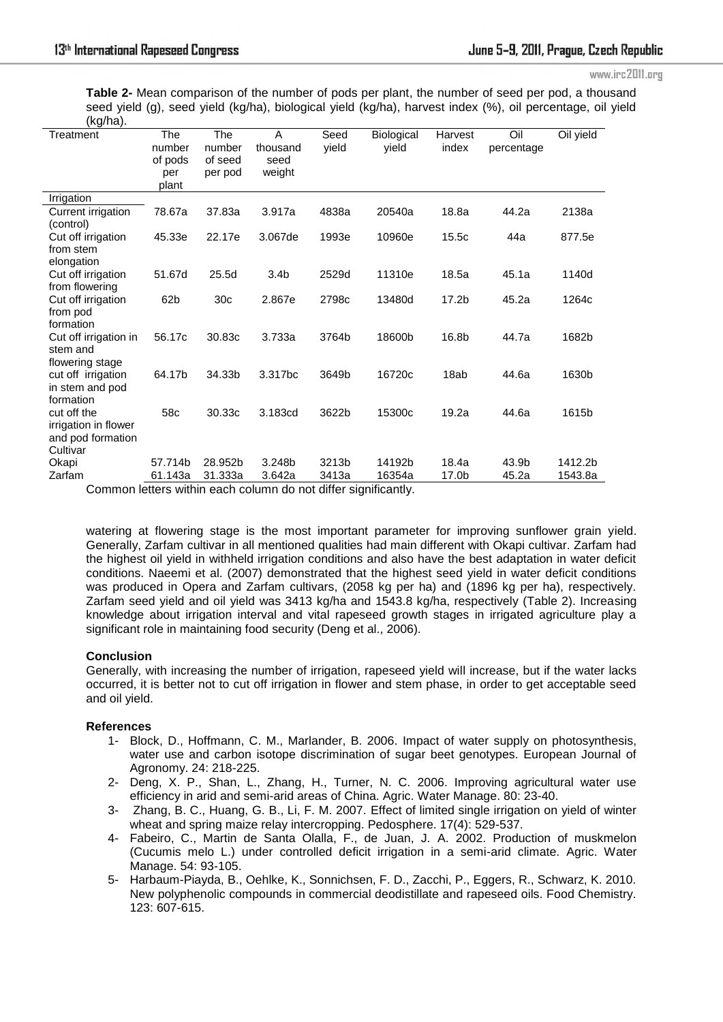www.irc2011.org

**Table 2-** Mean comparison of the number of pods per plant, the number of seed per pod, a thousand seed yield (g), seed yield (kg/ha), biological yield (kg/ha), harvest index (%), oil percentage, oil yield  $(kn/ha)$ 

| <u>ັ</u> ∪.⊶ອ″ <del>ທ່</del><br>Treatment | The<br>number   | The<br>number   | A<br>thousand    | Seed<br>yield | Biological<br>vield | Harvest<br>index  | Oil<br>percentage | Oil yield |
|-------------------------------------------|-----------------|-----------------|------------------|---------------|---------------------|-------------------|-------------------|-----------|
|                                           | of pods         | of seed         | seed             |               |                     |                   |                   |           |
|                                           | per             | per pod         | weight           |               |                     |                   |                   |           |
|                                           | plant           |                 |                  |               |                     |                   |                   |           |
| Irrigation                                |                 |                 |                  |               |                     |                   |                   |           |
| Current irrigation                        | 78.67a          | 37.83a          | 3.917a           | 4838a         | 20540a              | 18.8a             | 44.2a             | 2138a     |
| (control)                                 |                 |                 |                  |               |                     |                   |                   |           |
| Cut off irrigation                        | 45.33e          | 22.17e          | 3.067de          | 1993e         | 10960e              | 15.5c             | 44a               | 877.5e    |
| from stem                                 |                 |                 |                  |               |                     |                   |                   |           |
| elongation                                |                 |                 |                  |               |                     |                   |                   |           |
| Cut off irrigation                        | 51.67d          | 25.5d           | 3.4 <sub>b</sub> | 2529d         | 11310e              | 18.5a             | 45.1a             | 1140d     |
| from flowering                            |                 |                 |                  |               |                     |                   |                   |           |
| Cut off irrigation                        | 62 <sub>b</sub> | 30 <sub>c</sub> | 2.867e           | 2798c         | 13480d              | 17.2 <sub>b</sub> | 45.2a             | 1264c     |
| from pod<br>formation                     |                 |                 |                  |               |                     |                   |                   |           |
| Cut off irrigation in                     | 56.17c          | 30.83c          | 3.733a           | 3764b         | 18600b              | 16.8b             | 44.7a             | 1682b     |
| stem and                                  |                 |                 |                  |               |                     |                   |                   |           |
| flowering stage                           |                 |                 |                  |               |                     |                   |                   |           |
| cut off irrigation                        | 64.17b          | 34.33b          | 3.317bc          | 3649b         | 16720c              | 18ab              | 44.6a             | 1630b     |
| in stem and pod                           |                 |                 |                  |               |                     |                   |                   |           |
| formation                                 |                 |                 |                  |               |                     |                   |                   |           |
| cut off the                               | 58c             | 30.33c          | 3.183cd          | 3622b         | 15300c              | 19.2a             | 44.6a             | 1615b     |
| irrigation in flower                      |                 |                 |                  |               |                     |                   |                   |           |
| and pod formation                         |                 |                 |                  |               |                     |                   |                   |           |
| Cultivar                                  |                 |                 |                  |               |                     |                   |                   |           |
| Okapi                                     | 57.714b         | 28.952b         | 3.248b           | 3213b         | 14192b              | 18.4a             | 43.9b             | 1412.2b   |
| Zarfam                                    | 61.143a         | 31.333a         | 3.642a           | 3413a         | 16354a              | 17.0b             | 45.2a             | 1543.8a   |

Common letters within each column do not differ significantly.

watering at flowering stage is the most important parameter for improving sunflower grain yield. Generally, Zarfam cultivar in all mentioned qualities had main different with Okapi cultivar. Zarfam had the highest oil yield in withheld irrigation conditions and also have the best adaptation in water deficit conditions. Naeemi et al. (2007) demonstrated that the highest seed yield in water deficit conditions was produced in Opera and Zarfam cultivars, (2058 kg per ha) and (1896 kg per ha), respectively. Zarfam seed yield and oil yield was 3413 kg/ha and 1543.8 kg/ha, respectively (Table 2). Increasing knowledge about irrigation interval and vital rapeseed growth stages in irrigated agriculture play a significant role in maintaining food security (Deng et al., 2006).

#### **Conclusion**

Generally, with increasing the number of irrigation, rapeseed yield will increase, but if the water lacks occurred, it is better not to cut off irrigation in flower and stem phase, in order to get acceptable seed and oil yield.

#### **References**

- 1- Block, D., Hoffmann, C. M., Marlander, B. 2006. Impact of water supply on photosynthesis, water use and carbon isotope discrimination of sugar beet genotypes. European Journal of Agronomy. 24: 218-225.
- 2- Deng, X. P., Shan, L., Zhang, H., Turner, N. C. 2006. Improving agricultural water use efficiency in arid and semi-arid areas of China. Agric. Water Manage. 80: 23-40.
- 3- Zhang, B. C., Huang, G. B., Li, F. M. 2007. Effect of limited single irrigation on yield of winter wheat and spring maize relay intercropping. Pedosphere. 17(4): 529-537.
- 4- Fabeiro, C., Martin de Santa Olalla, F., de Juan, J. A. 2002. Production of muskmelon (Cucumis melo L.) under controlled deficit irrigation in a semi-arid climate. Agric. Water Manage. 54: 93-105.
- 5- Harbaum-Piayda, B., Oehlke, K., Sonnichsen, F. D., Zacchi, P., Eggers, R., Schwarz, K. 2010. New polyphenolic compounds in commercial deodistillate and rapeseed oils. Food Chemistry. 123: 607-615.